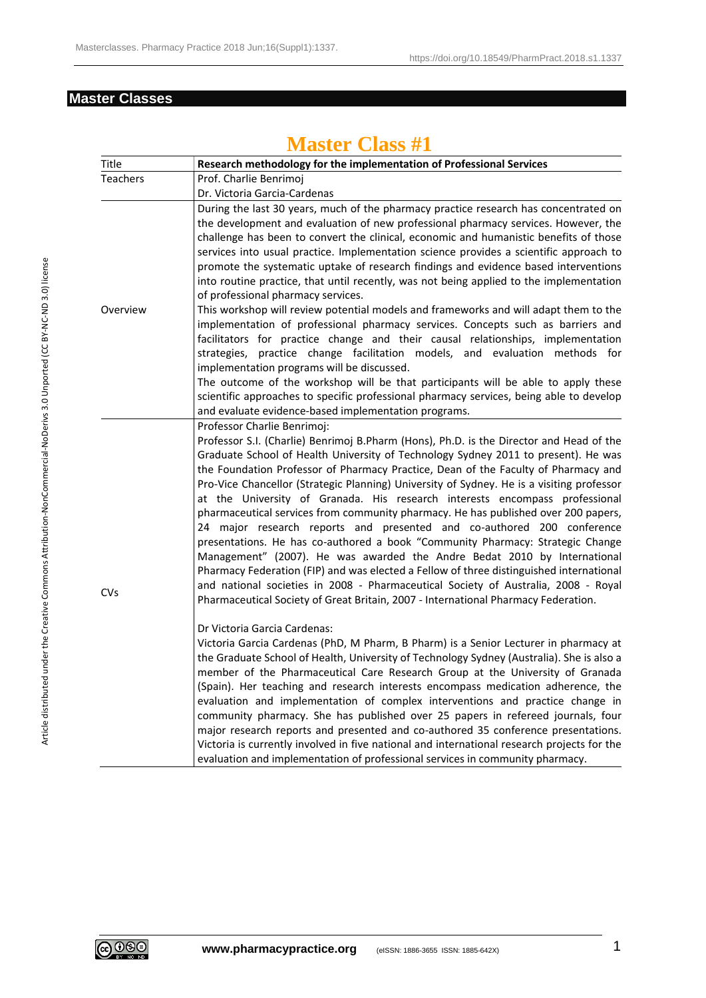#### **Master Classes**

| Title           | Research methodology for the implementation of Professional Services                                                                                                                                                                                                                                                                                                                                                                                                                                                                                                                                                                                                                                                                                                                                                                                                                                                                                                                                                                                                                                                                                             |
|-----------------|------------------------------------------------------------------------------------------------------------------------------------------------------------------------------------------------------------------------------------------------------------------------------------------------------------------------------------------------------------------------------------------------------------------------------------------------------------------------------------------------------------------------------------------------------------------------------------------------------------------------------------------------------------------------------------------------------------------------------------------------------------------------------------------------------------------------------------------------------------------------------------------------------------------------------------------------------------------------------------------------------------------------------------------------------------------------------------------------------------------------------------------------------------------|
| <b>Teachers</b> | Prof. Charlie Benrimoj                                                                                                                                                                                                                                                                                                                                                                                                                                                                                                                                                                                                                                                                                                                                                                                                                                                                                                                                                                                                                                                                                                                                           |
|                 | Dr. Victoria Garcia-Cardenas                                                                                                                                                                                                                                                                                                                                                                                                                                                                                                                                                                                                                                                                                                                                                                                                                                                                                                                                                                                                                                                                                                                                     |
| Overview        | During the last 30 years, much of the pharmacy practice research has concentrated on<br>the development and evaluation of new professional pharmacy services. However, the<br>challenge has been to convert the clinical, economic and humanistic benefits of those<br>services into usual practice. Implementation science provides a scientific approach to<br>promote the systematic uptake of research findings and evidence based interventions<br>into routine practice, that until recently, was not being applied to the implementation<br>of professional pharmacy services.<br>This workshop will review potential models and frameworks and will adapt them to the<br>implementation of professional pharmacy services. Concepts such as barriers and<br>facilitators for practice change and their causal relationships, implementation<br>strategies, practice change facilitation models, and evaluation methods for<br>implementation programs will be discussed.<br>The outcome of the workshop will be that participants will be able to apply these<br>scientific approaches to specific professional pharmacy services, being able to develop |
|                 | and evaluate evidence-based implementation programs.                                                                                                                                                                                                                                                                                                                                                                                                                                                                                                                                                                                                                                                                                                                                                                                                                                                                                                                                                                                                                                                                                                             |
| <b>CVs</b>      | Professor Charlie Benrimoj:<br>Professor S.I. (Charlie) Benrimoj B.Pharm (Hons), Ph.D. is the Director and Head of the<br>Graduate School of Health University of Technology Sydney 2011 to present). He was<br>the Foundation Professor of Pharmacy Practice, Dean of the Faculty of Pharmacy and<br>Pro-Vice Chancellor (Strategic Planning) University of Sydney. He is a visiting professor<br>at the University of Granada. His research interests encompass professional<br>pharmaceutical services from community pharmacy. He has published over 200 papers,<br>24 major research reports and presented and co-authored 200 conference<br>presentations. He has co-authored a book "Community Pharmacy: Strategic Change<br>Management" (2007). He was awarded the Andre Bedat 2010 by International<br>Pharmacy Federation (FIP) and was elected a Fellow of three distinguished international<br>and national societies in 2008 - Pharmaceutical Society of Australia, 2008 - Royal<br>Pharmaceutical Society of Great Britain, 2007 - International Pharmacy Federation.                                                                              |
|                 | Dr Victoria Garcia Cardenas:<br>Victoria Garcia Cardenas (PhD, M Pharm, B Pharm) is a Senior Lecturer in pharmacy at<br>the Graduate School of Health, University of Technology Sydney (Australia). She is also a<br>member of the Pharmaceutical Care Research Group at the University of Granada<br>(Spain). Her teaching and research interests encompass medication adherence, the<br>evaluation and implementation of complex interventions and practice change in<br>community pharmacy. She has published over 25 papers in refereed journals, four<br>major research reports and presented and co-authored 35 conference presentations.<br>Victoria is currently involved in five national and international research projects for the<br>evaluation and implementation of professional services in community pharmacy.                                                                                                                                                                                                                                                                                                                                  |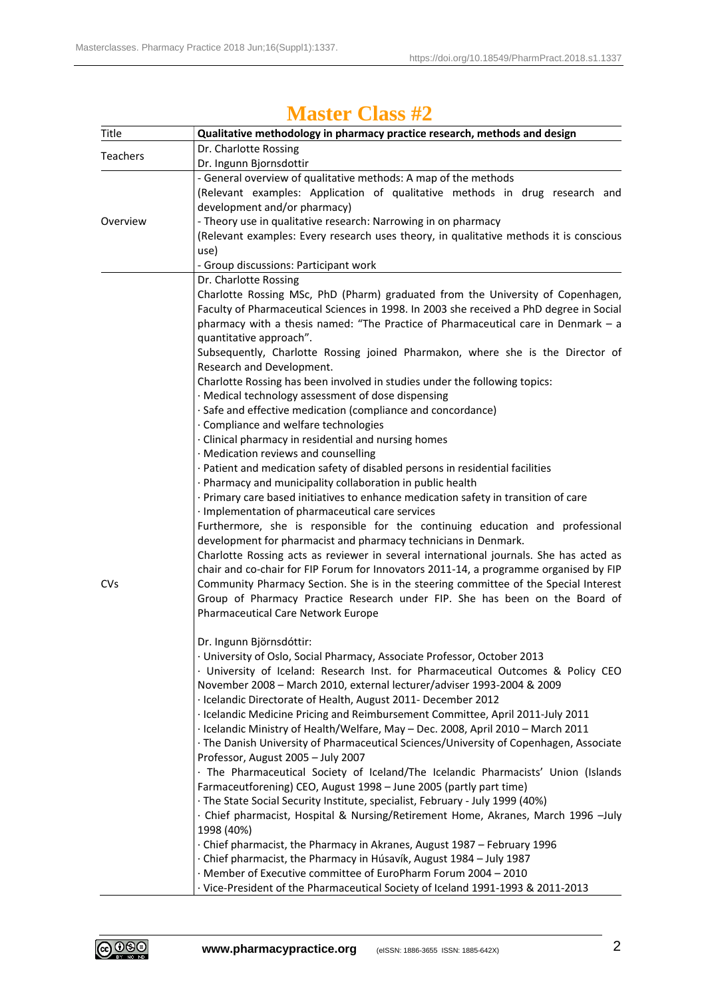| <b>Master Class #2</b> |
|------------------------|
|------------------------|

| Title           | Qualitative methodology in pharmacy practice research, methods and design                                                                                                  |
|-----------------|----------------------------------------------------------------------------------------------------------------------------------------------------------------------------|
| <b>Teachers</b> | Dr. Charlotte Rossing                                                                                                                                                      |
|                 | Dr. Ingunn Bjornsdottir                                                                                                                                                    |
|                 | - General overview of qualitative methods: A map of the methods                                                                                                            |
|                 | (Relevant examples: Application of qualitative methods in drug research and                                                                                                |
|                 | development and/or pharmacy)                                                                                                                                               |
| Overview        | - Theory use in qualitative research: Narrowing in on pharmacy                                                                                                             |
|                 | (Relevant examples: Every research uses theory, in qualitative methods it is conscious                                                                                     |
|                 | use)                                                                                                                                                                       |
|                 | - Group discussions: Participant work                                                                                                                                      |
|                 | Dr. Charlotte Rossing                                                                                                                                                      |
|                 | Charlotte Rossing MSc, PhD (Pharm) graduated from the University of Copenhagen,<br>Faculty of Pharmaceutical Sciences in 1998. In 2003 she received a PhD degree in Social |
|                 | pharmacy with a thesis named: "The Practice of Pharmaceutical care in Denmark - a                                                                                          |
|                 | quantitative approach".                                                                                                                                                    |
|                 | Subsequently, Charlotte Rossing joined Pharmakon, where she is the Director of                                                                                             |
|                 | Research and Development.                                                                                                                                                  |
|                 | Charlotte Rossing has been involved in studies under the following topics:                                                                                                 |
|                 | · Medical technology assessment of dose dispensing                                                                                                                         |
|                 | · Safe and effective medication (compliance and concordance)                                                                                                               |
|                 | · Compliance and welfare technologies                                                                                                                                      |
|                 | · Clinical pharmacy in residential and nursing homes                                                                                                                       |
|                 | · Medication reviews and counselling                                                                                                                                       |
|                 | · Patient and medication safety of disabled persons in residential facilities                                                                                              |
|                 | · Pharmacy and municipality collaboration in public health                                                                                                                 |
|                 | · Primary care based initiatives to enhance medication safety in transition of care                                                                                        |
|                 | · Implementation of pharmaceutical care services                                                                                                                           |
|                 | Furthermore, she is responsible for the continuing education and professional                                                                                              |
|                 | development for pharmacist and pharmacy technicians in Denmark.<br>Charlotte Rossing acts as reviewer in several international journals. She has acted as                  |
|                 | chair and co-chair for FIP Forum for Innovators 2011-14, a programme organised by FIP                                                                                      |
| <b>CVs</b>      | Community Pharmacy Section. She is in the steering committee of the Special Interest                                                                                       |
|                 | Group of Pharmacy Practice Research under FIP. She has been on the Board of                                                                                                |
|                 | Pharmaceutical Care Network Europe                                                                                                                                         |
|                 |                                                                                                                                                                            |
|                 | Dr. Ingunn Björnsdóttir:                                                                                                                                                   |
|                 | · University of Oslo, Social Pharmacy, Associate Professor, October 2013                                                                                                   |
|                 | · University of Iceland: Research Inst. for Pharmaceutical Outcomes & Policy CEO                                                                                           |
|                 | November 2008 - March 2010, external lecturer/adviser 1993-2004 & 2009                                                                                                     |
|                 | · Icelandic Directorate of Health, August 2011- December 2012                                                                                                              |
|                 | · Icelandic Medicine Pricing and Reimbursement Committee, April 2011-July 2011                                                                                             |
|                 | · Icelandic Ministry of Health/Welfare, May - Dec. 2008, April 2010 - March 2011<br>· The Danish University of Pharmaceutical Sciences/University of Copenhagen, Associate |
|                 | Professor, August 2005 - July 2007                                                                                                                                         |
|                 | · The Pharmaceutical Society of Iceland/The Icelandic Pharmacists' Union (Islands                                                                                          |
|                 | Farmaceutforening) CEO, August 1998 - June 2005 (partly part time)                                                                                                         |
|                 | · The State Social Security Institute, specialist, February - July 1999 (40%)                                                                                              |
|                 | · Chief pharmacist, Hospital & Nursing/Retirement Home, Akranes, March 1996 -July                                                                                          |
|                 | 1998 (40%)                                                                                                                                                                 |
|                 | Chief pharmacist, the Pharmacy in Akranes, August 1987 - February 1996                                                                                                     |
|                 | · Chief pharmacist, the Pharmacy in Húsavík, August 1984 – July 1987                                                                                                       |
|                 | · Member of Executive committee of EuroPharm Forum 2004 - 2010                                                                                                             |
|                 | · Vice-President of the Pharmaceutical Society of Iceland 1991-1993 & 2011-2013                                                                                            |

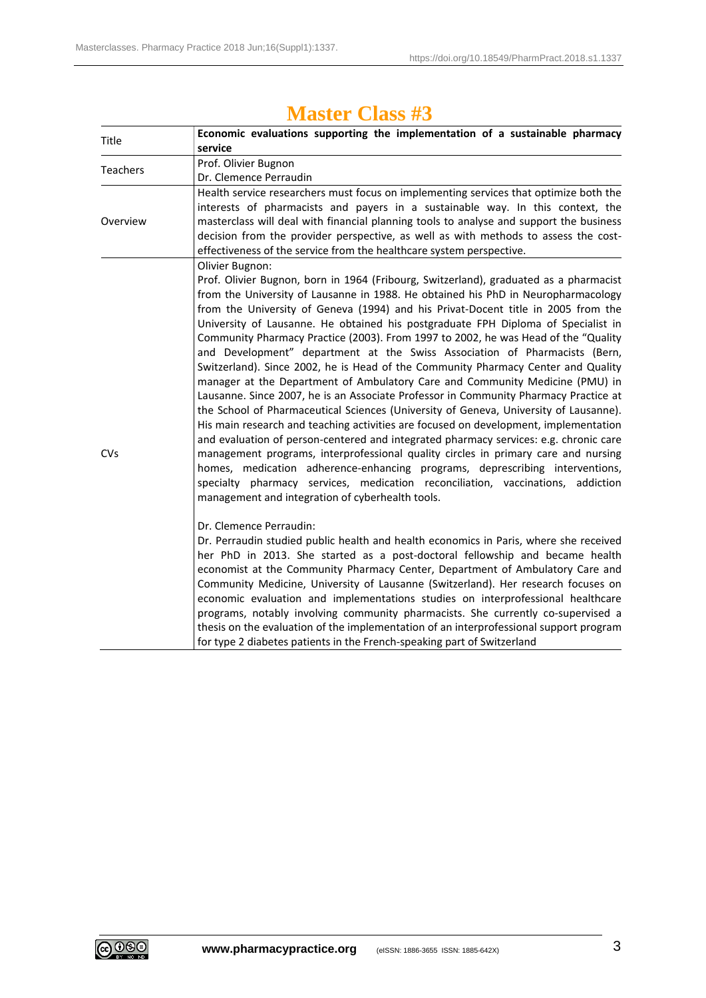| Title           | Economic evaluations supporting the implementation of a sustainable pharmacy                                                                                                                                                                                                                                                                                                                                                                                                                                                                                                                                                                                                                                                                                                                                                                                                                                                                                                                                                                                                                                                                                                                                                                                                                                                                                                                    |
|-----------------|-------------------------------------------------------------------------------------------------------------------------------------------------------------------------------------------------------------------------------------------------------------------------------------------------------------------------------------------------------------------------------------------------------------------------------------------------------------------------------------------------------------------------------------------------------------------------------------------------------------------------------------------------------------------------------------------------------------------------------------------------------------------------------------------------------------------------------------------------------------------------------------------------------------------------------------------------------------------------------------------------------------------------------------------------------------------------------------------------------------------------------------------------------------------------------------------------------------------------------------------------------------------------------------------------------------------------------------------------------------------------------------------------|
|                 | service                                                                                                                                                                                                                                                                                                                                                                                                                                                                                                                                                                                                                                                                                                                                                                                                                                                                                                                                                                                                                                                                                                                                                                                                                                                                                                                                                                                         |
| <b>Teachers</b> | Prof. Olivier Bugnon                                                                                                                                                                                                                                                                                                                                                                                                                                                                                                                                                                                                                                                                                                                                                                                                                                                                                                                                                                                                                                                                                                                                                                                                                                                                                                                                                                            |
|                 | Dr. Clemence Perraudin                                                                                                                                                                                                                                                                                                                                                                                                                                                                                                                                                                                                                                                                                                                                                                                                                                                                                                                                                                                                                                                                                                                                                                                                                                                                                                                                                                          |
| Overview        | Health service researchers must focus on implementing services that optimize both the<br>interests of pharmacists and payers in a sustainable way. In this context, the<br>masterclass will deal with financial planning tools to analyse and support the business<br>decision from the provider perspective, as well as with methods to assess the cost-<br>effectiveness of the service from the healthcare system perspective.                                                                                                                                                                                                                                                                                                                                                                                                                                                                                                                                                                                                                                                                                                                                                                                                                                                                                                                                                               |
| <b>CVs</b>      | Olivier Bugnon:<br>Prof. Olivier Bugnon, born in 1964 (Fribourg, Switzerland), graduated as a pharmacist<br>from the University of Lausanne in 1988. He obtained his PhD in Neuropharmacology<br>from the University of Geneva (1994) and his Privat-Docent title in 2005 from the<br>University of Lausanne. He obtained his postgraduate FPH Diploma of Specialist in<br>Community Pharmacy Practice (2003). From 1997 to 2002, he was Head of the "Quality<br>and Development" department at the Swiss Association of Pharmacists (Bern,<br>Switzerland). Since 2002, he is Head of the Community Pharmacy Center and Quality<br>manager at the Department of Ambulatory Care and Community Medicine (PMU) in<br>Lausanne. Since 2007, he is an Associate Professor in Community Pharmacy Practice at<br>the School of Pharmaceutical Sciences (University of Geneva, University of Lausanne).<br>His main research and teaching activities are focused on development, implementation<br>and evaluation of person-centered and integrated pharmacy services: e.g. chronic care<br>management programs, interprofessional quality circles in primary care and nursing<br>homes, medication adherence-enhancing programs, deprescribing interventions,<br>specialty pharmacy services, medication reconciliation, vaccinations, addiction<br>management and integration of cyberhealth tools. |
|                 | Dr. Clemence Perraudin:<br>Dr. Perraudin studied public health and health economics in Paris, where she received<br>her PhD in 2013. She started as a post-doctoral fellowship and became health<br>economist at the Community Pharmacy Center, Department of Ambulatory Care and<br>Community Medicine, University of Lausanne (Switzerland). Her research focuses on<br>economic evaluation and implementations studies on interprofessional healthcare<br>programs, notably involving community pharmacists. She currently co-supervised a<br>thesis on the evaluation of the implementation of an interprofessional support program<br>for type 2 diabetes patients in the French-speaking part of Switzerland                                                                                                                                                                                                                                                                                                                                                                                                                                                                                                                                                                                                                                                                              |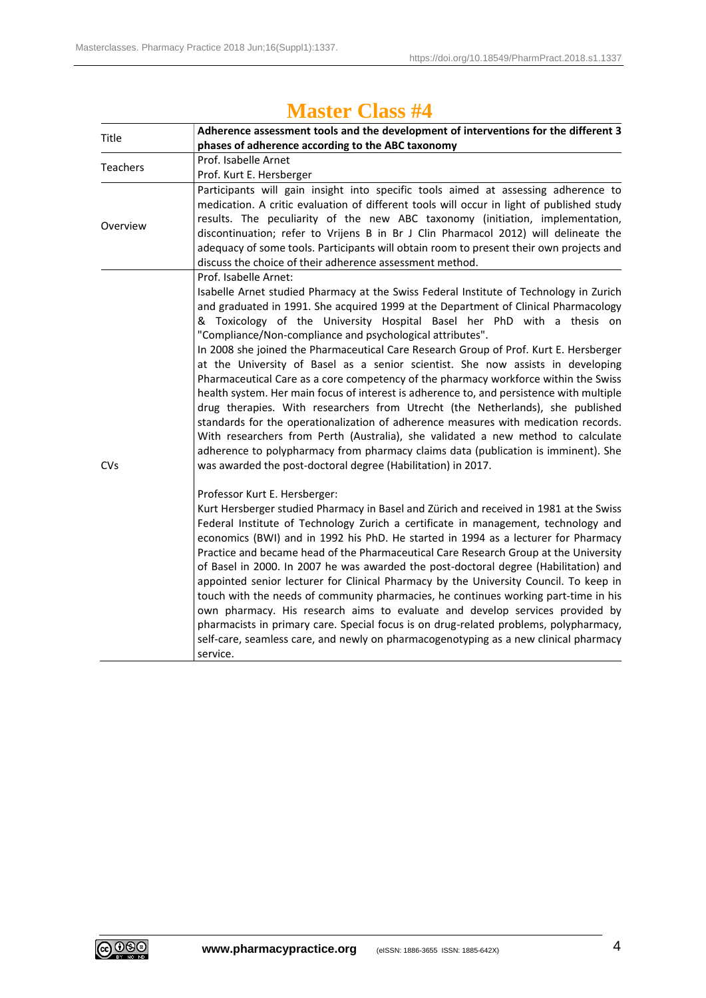| Title           | Adherence assessment tools and the development of interventions for the different 3                                                                                      |
|-----------------|--------------------------------------------------------------------------------------------------------------------------------------------------------------------------|
|                 | phases of adherence according to the ABC taxonomy                                                                                                                        |
| <b>Teachers</b> | Prof. Isabelle Arnet                                                                                                                                                     |
|                 | Prof. Kurt E. Hersberger                                                                                                                                                 |
|                 | Participants will gain insight into specific tools aimed at assessing adherence to                                                                                       |
|                 | medication. A critic evaluation of different tools will occur in light of published study                                                                                |
| Overview        | results. The peculiarity of the new ABC taxonomy (initiation, implementation,                                                                                            |
|                 | discontinuation; refer to Vrijens B in Br J Clin Pharmacol 2012) will delineate the                                                                                      |
|                 | adequacy of some tools. Participants will obtain room to present their own projects and                                                                                  |
|                 | discuss the choice of their adherence assessment method.                                                                                                                 |
|                 | Prof. Isabelle Arnet:                                                                                                                                                    |
|                 | Isabelle Arnet studied Pharmacy at the Swiss Federal Institute of Technology in Zurich                                                                                   |
|                 | and graduated in 1991. She acquired 1999 at the Department of Clinical Pharmacology                                                                                      |
|                 | & Toxicology of the University Hospital Basel her PhD with a thesis on                                                                                                   |
|                 | "Compliance/Non-compliance and psychological attributes".                                                                                                                |
|                 | In 2008 she joined the Pharmaceutical Care Research Group of Prof. Kurt E. Hersberger<br>at the University of Basel as a senior scientist. She now assists in developing |
|                 | Pharmaceutical Care as a core competency of the pharmacy workforce within the Swiss                                                                                      |
|                 | health system. Her main focus of interest is adherence to, and persistence with multiple                                                                                 |
|                 | drug therapies. With researchers from Utrecht (the Netherlands), she published                                                                                           |
|                 | standards for the operationalization of adherence measures with medication records.                                                                                      |
|                 | With researchers from Perth (Australia), she validated a new method to calculate                                                                                         |
|                 | adherence to polypharmacy from pharmacy claims data (publication is imminent). She                                                                                       |
| <b>CVs</b>      | was awarded the post-doctoral degree (Habilitation) in 2017.                                                                                                             |
|                 | Professor Kurt E. Hersberger:                                                                                                                                            |
|                 | Kurt Hersberger studied Pharmacy in Basel and Zürich and received in 1981 at the Swiss                                                                                   |
|                 | Federal Institute of Technology Zurich a certificate in management, technology and                                                                                       |
|                 | economics (BWI) and in 1992 his PhD. He started in 1994 as a lecturer for Pharmacy                                                                                       |
|                 | Practice and became head of the Pharmaceutical Care Research Group at the University                                                                                     |
|                 | of Basel in 2000. In 2007 he was awarded the post-doctoral degree (Habilitation) and                                                                                     |
|                 | appointed senior lecturer for Clinical Pharmacy by the University Council. To keep in                                                                                    |
|                 | touch with the needs of community pharmacies, he continues working part-time in his                                                                                      |
|                 | own pharmacy. His research aims to evaluate and develop services provided by                                                                                             |
|                 | pharmacists in primary care. Special focus is on drug-related problems, polypharmacy,                                                                                    |
|                 | self-care, seamless care, and newly on pharmacogenotyping as a new clinical pharmacy                                                                                     |
|                 | service.                                                                                                                                                                 |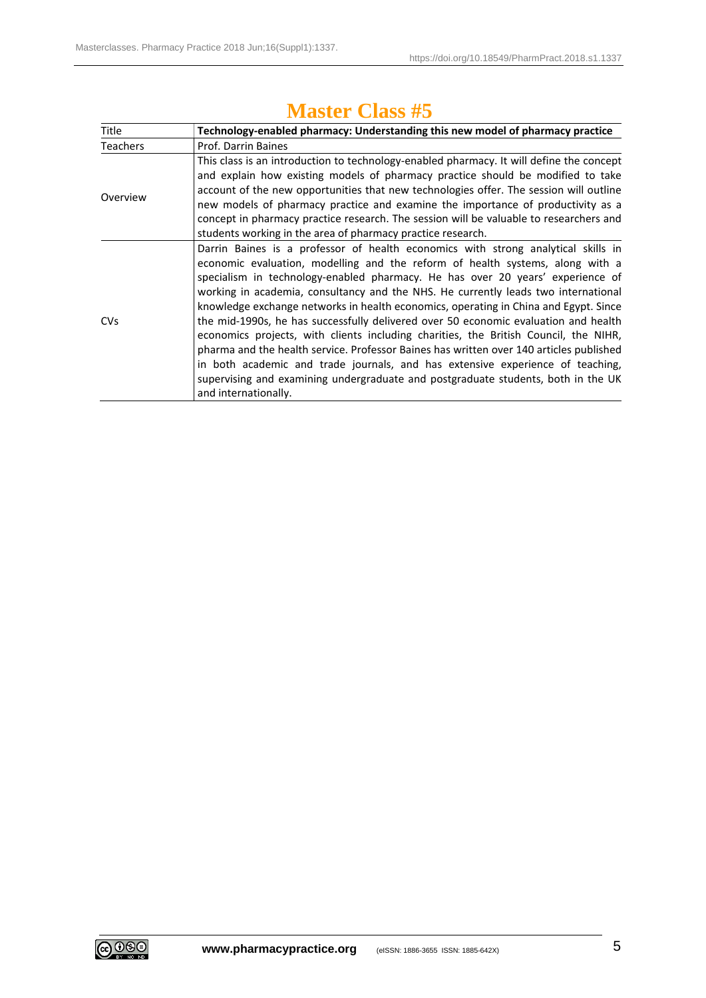| Title           | Technology-enabled pharmacy: Understanding this new model of pharmacy practice           |
|-----------------|------------------------------------------------------------------------------------------|
| <b>Teachers</b> | Prof. Darrin Baines                                                                      |
| Overview        | This class is an introduction to technology-enabled pharmacy. It will define the concept |
|                 | and explain how existing models of pharmacy practice should be modified to take          |
|                 | account of the new opportunities that new technologies offer. The session will outline   |
|                 | new models of pharmacy practice and examine the importance of productivity as a          |
|                 | concept in pharmacy practice research. The session will be valuable to researchers and   |
|                 | students working in the area of pharmacy practice research.                              |
|                 | Darrin Baines is a professor of health economics with strong analytical skills in        |
|                 | economic evaluation, modelling and the reform of health systems, along with a            |
| <b>CVs</b>      | specialism in technology-enabled pharmacy. He has over 20 years' experience of           |
|                 | working in academia, consultancy and the NHS. He currently leads two international       |
|                 | knowledge exchange networks in health economics, operating in China and Egypt. Since     |
|                 | the mid-1990s, he has successfully delivered over 50 economic evaluation and health      |
|                 | economics projects, with clients including charities, the British Council, the NIHR,     |
|                 | pharma and the health service. Professor Baines has written over 140 articles published  |
|                 | in both academic and trade journals, and has extensive experience of teaching,           |
|                 | supervising and examining undergraduate and postgraduate students, both in the UK        |
|                 | and internationally.                                                                     |